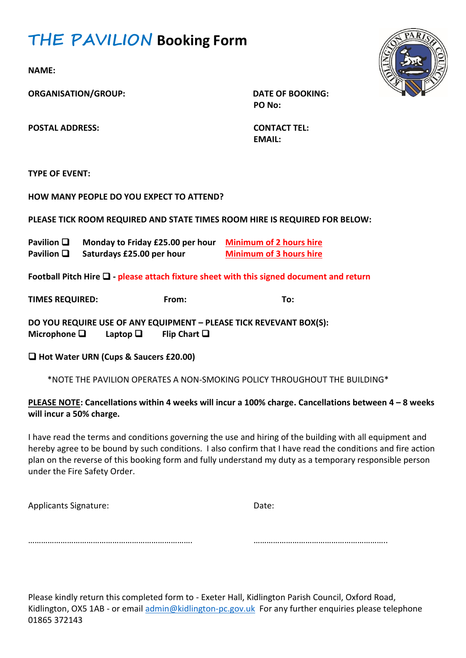# **THE PAVILION Booking Form**

**NAME:** 

**ORGANISATION/GROUP: DATE OF BOOKING:**

**PO No:**

**POSTAL ADDRESS: CONTACT TEL:**

**EMAIL:**

**TYPE OF EVENT:**

**HOW MANY PEOPLE DO YOU EXPECT TO ATTEND?**

**PLEASE TICK ROOM REQUIRED AND STATE TIMES ROOM HIRE IS REQUIRED FOR BELOW:**

**Pavilion** ❑ **Monday to Friday £25.00 per hour Minimum of 2 hours hire Pavilion** ❑ **Saturdays £25.00 per hour Minimum of 3 hours hire**

**Football Pitch Hire** ❑ **- please attach fixture sheet with this signed document and return**

**TIMES REQUIRED: From: To:**

**DO YOU REQUIRE USE OF ANY EQUIPMENT – PLEASE TICK REVEVANT BOX(S): Microphone** ❑ **Laptop** ❑ **Flip Chart** ❑

❑ **Hot Water URN (Cups & Saucers £20.00)** 

\*NOTE THE PAVILION OPERATES A NON-SMOKING POLICY THROUGHOUT THE BUILDING\*

## **PLEASE NOTE: Cancellations within 4 weeks will incur a 100% charge. Cancellations between 4 – 8 weeks will incur a 50% charge.**

I have read the terms and conditions governing the use and hiring of the building with all equipment and hereby agree to be bound by such conditions. I also confirm that I have read the conditions and fire action plan on the reverse of this booking form and fully understand my duty as a temporary responsible person under the Fire Safety Order.

| <b>Applicants Signature:</b> | Date: |
|------------------------------|-------|
|                              |       |
|                              |       |
|                              |       |

Please kindly return this completed form to - Exeter Hall, Kidlington Parish Council, Oxford Road, Kidlington, OX5 1AB - or email [admin@kidlington-pc.gov.uk](mailto:secretary@kidlington-pc.gov.uk) For any further enquiries please telephone 01865 372143